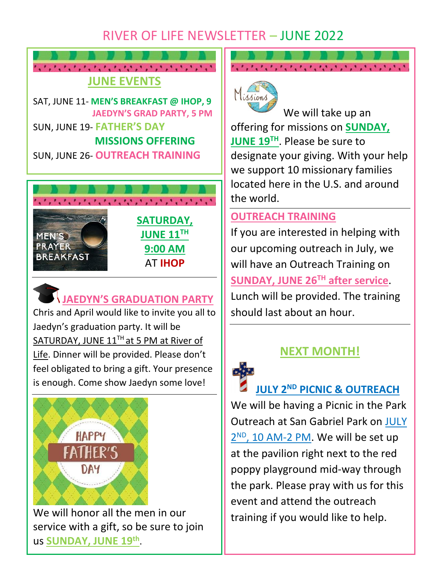## RIVER OF LIFE NEWSLETTER – JUNE 2022



SAT, JUNE 11- **MEN'S BREAKFAST @ IHOP, 9 JAEDYN'S GRAD PARTY, 5 PM** SUN, JUNE 19- **FATHER'S DAY MISSIONS OFFERING** SUN, JUNE 26- **OUTREACH TRAINING**



### **JAEDYN'S GRADUATION PARTY**

Chris and April would like to invite you all to Jaedyn's graduation party. It will be SATURDAY, JUNE  $11<sup>TH</sup>$  at 5 PM at River of Life. Dinner will be provided. Please don't feel obligated to bring a gift. Your presence is enough. Come show Jaedyn some love!



We will honor all the men in our service with a gift, so be sure to join us **SUNDAY, JUNE 19th** .

# わいこん カップ・カップ いんかい きょういきょういきょういき



We will take up an offering for missions on **SUNDAY, JUNE 19 TH**. Please be sure to designate your giving. With your help we support 10 missionary families located here in the U.S. and around the world.

#### **OUTREACH TRAINING**

If you are interested in helping with our upcoming outreach in July, we will have an Outreach Training on **SUNDAY, JUNE 26TH after service**. Lunch will be provided. The training should last about an hour.



## **NEXT MONTH!**

**JULY 2ND PICNIC & OUTREACH**

We will be having a Picnic in the Park Outreach at San Gabriel Park on JULY 2<sup>ND</sup>, 10 AM-2 PM. We will be set up at the pavilion right next to the red poppy playground mid-way through the park. Please pray with us for this event and attend the outreach training if you would like to help.